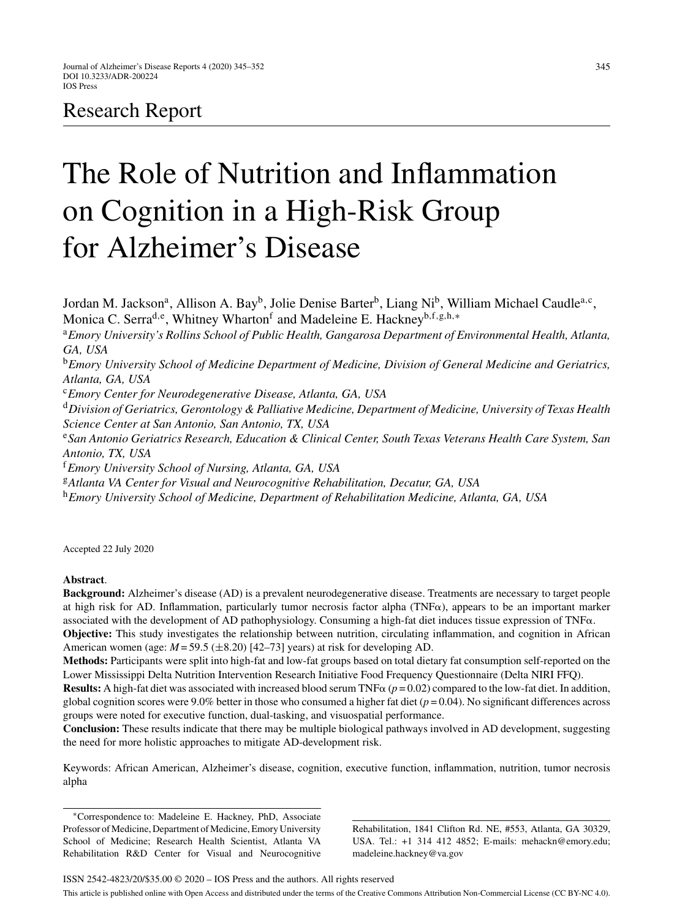# Research Report

# The Role of Nutrition and Inflammation on Cognition in a High-Risk Group for Alzheimer's Disease

Jordan M. Jackson<sup>a</sup>, Allison A. Bay<sup>b</sup>, Jolie Denise Barter<sup>b</sup>, Liang Ni<sup>b</sup>, William Michael Caudle<sup>a,c</sup>, Monica C. Serra<sup>d,e</sup>, Whitney Wharton<sup>f</sup> and Madeleine E. Hackney<sup>b,f,g,h,\*</sup> <sup>a</sup>*Emory University's Rollins School of Public Health, Gangarosa Department of Environmental Health, Atlanta, GA, USA* <sup>b</sup>*Emory University School of Medicine Department of Medicine, Division of General Medicine and Geriatrics, Atlanta, GA, USA* <sup>c</sup>*Emory Center for Neurodegenerative Disease, Atlanta, GA, USA* <sup>d</sup>*Division of Geriatrics, Gerontology & Palliative Medicine, Department of Medicine, University of Texas Health Science Center at San Antonio, San Antonio, TX, USA* <sup>e</sup>*San Antonio Geriatrics Research, Education & Clinical Center, South Texas Veterans Health Care System, San Antonio, TX, USA* <sup>f</sup>*Emory University School of Nursing, Atlanta, GA, USA* <sup>g</sup>*Atlanta VA Center for Visual and Neurocognitive Rehabilitation, Decatur, GA, USA* <sup>h</sup>*Emory University School of Medicine, Department of Rehabilitation Medicine, Atlanta, GA, USA*

Accepted 22 July 2020

# **Abstract**.

**Background:** Alzheimer's disease (AD) is a prevalent neurodegenerative disease. Treatments are necessary to target people at high risk for AD. Inflammation, particularly tumor necrosis factor alpha ( $TNF\alpha$ ), appears to be an important marker associated with the development of AD pathophysiology. Consuming a high-fat diet induces tissue expression of  $TNF\alpha$ .

**Objective:** This study investigates the relationship between nutrition, circulating inflammation, and cognition in African American women (age:  $M = 59.5$  ( $\pm 8.20$ ) [42–73] years) at risk for developing AD.

**Methods:** Participants were split into high-fat and low-fat groups based on total dietary fat consumption self-reported on the Lower Mississippi Delta Nutrition Intervention Research Initiative Food Frequency Questionnaire (Delta NIRI FFQ).

**Results:** A high-fat diet was associated with increased blood serum TNF $\alpha$  ( $p = 0.02$ ) compared to the low-fat diet. In addition, global cognition scores were 9.0% better in those who consumed a higher fat diet ( $p = 0.04$ ). No significant differences across groups were noted for executive function, dual-tasking, and visuospatial performance.

**Conclusion:** These results indicate that there may be multiple biological pathways involved in AD development, suggesting the need for more holistic approaches to mitigate AD-development risk.

Keywords: African American, Alzheimer's disease, cognition, executive function, inflammation, nutrition, tumor necrosis alpha

∗Correspondence to: Madeleine E. Hackney, PhD, Associate Professor of Medicine, Department of Medicine, Emory University School of Medicine; Research Health Scientist, Atlanta VA Rehabilitation R&D Center for Visual and Neurocognitive

Rehabilitation, 1841 Clifton Rd. NE, #553, Atlanta, GA 30329, USA. Tel.: +1 314 412 4852; E-mails: [mehackn@emory.edu;](mailto:mehackn@emory.edu) [madeleine.hackney@va.gov](mailto:madeleine.hackney@va.gov)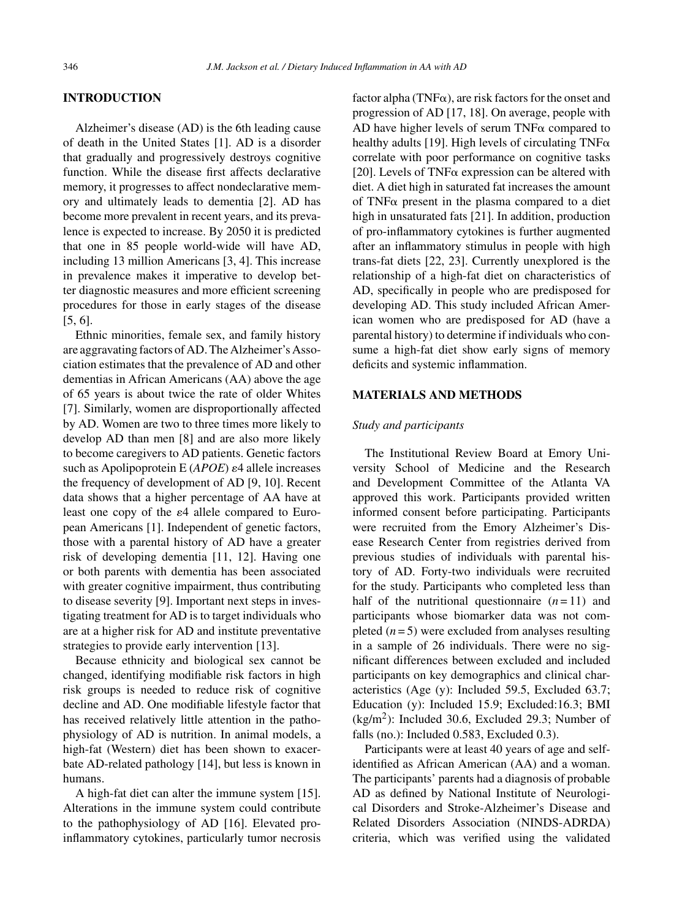# **INTRODUCTION**

Alzheimer's disease (AD) is the 6th leading cause of death in the United States [1]. AD is a disorder that gradually and progressively destroys cognitive function. While the disease first affects declarative memory, it progresses to affect nondeclarative memory and ultimately leads to dementia [2]. AD has become more prevalent in recent years, and its prevalence is expected to increase. By 2050 it is predicted that one in 85 people world-wide will have AD, including 13 million Americans [3, 4]. This increase in prevalence makes it imperative to develop better diagnostic measures and more efficient screening procedures for those in early stages of the disease [5, 6].

Ethnic minorities, female sex, and family history are aggravating factors of AD. The Alzheimer's Association estimates that the prevalence of AD and other dementias in African Americans (AA) above the age of 65 years is about twice the rate of older Whites [7]. Similarly, women are disproportionally affected by AD. Women are two to three times more likely to develop AD than men [8] and are also more likely to become caregivers to AD patients. Genetic factors such as Apolipoprotein  $E(APOE)$   $\varepsilon$ 4 allele increases the frequency of development of AD [9, 10]. Recent data shows that a higher percentage of AA have at least one copy of the  $\varepsilon$ 4 allele compared to European Americans [1]. Independent of genetic factors, those with a parental history of AD have a greater risk of developing dementia [11, 12]. Having one or both parents with dementia has been associated with greater cognitive impairment, thus contributing to disease severity [9]. Important next steps in investigating treatment for AD is to target individuals who are at a higher risk for AD and institute preventative strategies to provide early intervention [13].

Because ethnicity and biological sex cannot be changed, identifying modifiable risk factors in high risk groups is needed to reduce risk of cognitive decline and AD. One modifiable lifestyle factor that has received relatively little attention in the pathophysiology of AD is nutrition. In animal models, a high-fat (Western) diet has been shown to exacerbate AD-related pathology [14], but less is known in humans.

A high-fat diet can alter the immune system [15]. Alterations in the immune system could contribute to the pathophysiology of AD [16]. Elevated proinflammatory cytokines, particularly tumor necrosis factor alpha (TNF $\alpha$ ), are risk factors for the onset and progression of AD [17, 18]. On average, people with AD have higher levels of serum  $TNF\alpha$  compared to healthy adults [19]. High levels of circulating  $TNF\alpha$ correlate with poor performance on cognitive tasks [20]. Levels of TNF $\alpha$  expression can be altered with diet. A diet high in saturated fat increases the amount of TNF $\alpha$  present in the plasma compared to a diet high in unsaturated fats [21]. In addition, production of pro-inflammatory cytokines is further augmented after an inflammatory stimulus in people with high trans-fat diets [22, 23]. Currently unexplored is the relationship of a high-fat diet on characteristics of AD, specifically in people who are predisposed for developing AD. This study included African American women who are predisposed for AD (have a parental history) to determine if individuals who consume a high-fat diet show early signs of memory deficits and systemic inflammation.

# **MATERIALS AND METHODS**

# *Study and participants*

The Institutional Review Board at Emory University School of Medicine and the Research and Development Committee of the Atlanta VA approved this work. Participants provided written informed consent before participating. Participants were recruited from the Emory Alzheimer's Disease Research Center from registries derived from previous studies of individuals with parental history of AD. Forty-two individuals were recruited for the study. Participants who completed less than half of the nutritional questionnaire  $(n=11)$  and participants whose biomarker data was not completed  $(n=5)$  were excluded from analyses resulting in a sample of 26 individuals. There were no significant differences between excluded and included participants on key demographics and clinical characteristics (Age (y): Included 59.5, Excluded 63.7; Education (y): Included 15.9; Excluded:16.3; BMI  $(kg/m<sup>2</sup>)$ : Included 30.6, Excluded 29.3; Number of falls (no.): Included 0.583, Excluded 0.3).

Participants were at least 40 years of age and selfidentified as African American (AA) and a woman. The participants' parents had a diagnosis of probable AD as defined by National Institute of Neurological Disorders and Stroke-Alzheimer's Disease and Related Disorders Association (NINDS-ADRDA) criteria, which was verified using the validated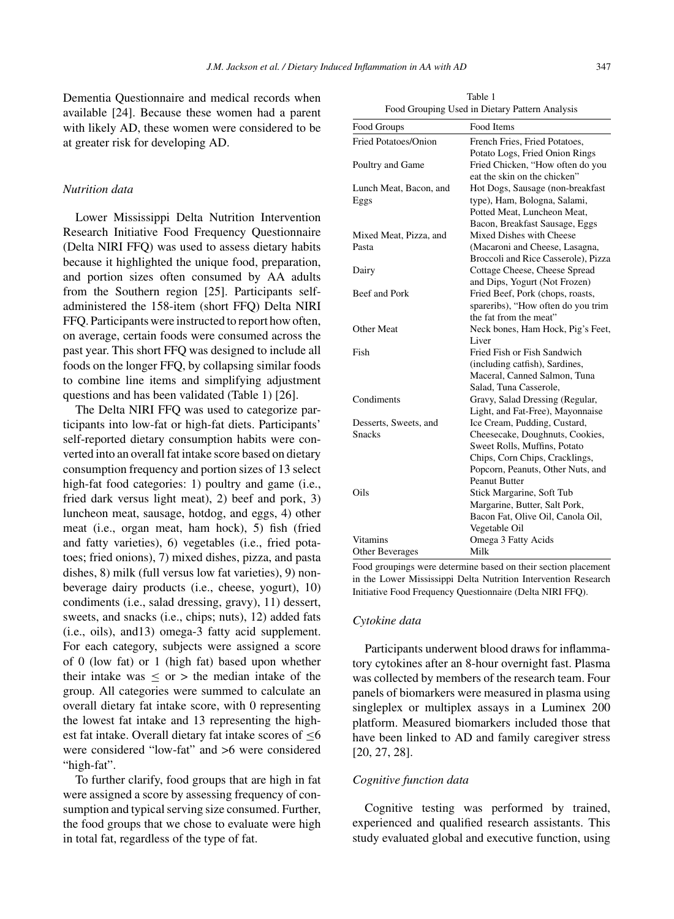Dementia Questionnaire and medical records when available [24]. Because these women had a parent with likely AD, these women were considered to be at greater risk for developing AD.

### *Nutrition data*

Lower Mississippi Delta Nutrition Intervention Research Initiative Food Frequency Questionnaire (Delta NIRI FFQ) was used to assess dietary habits because it highlighted the unique food, preparation, and portion sizes often consumed by AA adults from the Southern region [25]. Participants selfadministered the 158-item (short FFQ) Delta NIRI FFQ. Participants were instructed to report how often, on average, certain foods were consumed across the past year. This short FFQ was designed to include all foods on the longer FFQ, by collapsing similar foods to combine line items and simplifying adjustment questions and has been validated (Table 1) [26].

The Delta NIRI FFQ was used to categorize participants into low-fat or high-fat diets. Participants' self-reported dietary consumption habits were converted into an overall fat intake score based on dietary consumption frequency and portion sizes of 13 select high-fat food categories: 1) poultry and game (i.e., fried dark versus light meat), 2) beef and pork, 3) luncheon meat, sausage, hotdog, and eggs, 4) other meat (i.e., organ meat, ham hock), 5) fish (fried and fatty varieties), 6) vegetables (i.e., fried potatoes; fried onions), 7) mixed dishes, pizza, and pasta dishes, 8) milk (full versus low fat varieties), 9) nonbeverage dairy products (i.e., cheese, yogurt), 10) condiments (i.e., salad dressing, gravy), 11) dessert, sweets, and snacks (i.e., chips; nuts), 12) added fats (i.e., oils), and13) omega-3 fatty acid supplement. For each category, subjects were assigned a score of 0 (low fat) or 1 (high fat) based upon whether their intake was  $\leq$  or  $>$  the median intake of the group. All categories were summed to calculate an overall dietary fat intake score, with 0 representing the lowest fat intake and 13 representing the highest fat intake. Overall dietary fat intake scores of ≤6 were considered "low-fat" and >6 were considered "high-fat".

To further clarify, food groups that are high in fat were assigned a score by assessing frequency of consumption and typical serving size consumed. Further, the food groups that we chose to evaluate were high in total fat, regardless of the type of fat.

Table 1 Food Grouping Used in Dietary Pattern Analysis

| Food Groups            | Food Items                          |
|------------------------|-------------------------------------|
| Fried Potatoes/Onion   | French Fries, Fried Potatoes,       |
|                        | Potato Logs, Fried Onion Rings      |
| Poultry and Game       | Fried Chicken, "How often do you    |
|                        | eat the skin on the chicken"        |
| Lunch Meat, Bacon, and | Hot Dogs, Sausage (non-breakfast    |
| Eggs                   | type), Ham, Bologna, Salami,        |
|                        | Potted Meat, Luncheon Meat,         |
|                        | Bacon, Breakfast Sausage, Eggs      |
| Mixed Meat, Pizza, and | Mixed Dishes with Cheese            |
| Pasta                  | (Macaroni and Cheese, Lasagna,      |
|                        | Broccoli and Rice Casserole), Pizza |
| Dairy                  | Cottage Cheese, Cheese Spread       |
|                        | and Dips, Yogurt (Not Frozen)       |
| Beef and Pork          | Fried Beef, Pork (chops, roasts,    |
|                        | spareribs), "How often do you trim  |
|                        | the fat from the meat"              |
| <b>Other Meat</b>      | Neck bones, Ham Hock, Pig's Feet,   |
|                        | Liver                               |
| Fish                   | Fried Fish or Fish Sandwich         |
|                        | (including catfish), Sardines,      |
|                        | Maceral, Canned Salmon, Tuna        |
|                        | Salad, Tuna Casserole,              |
| Condiments             | Gravy, Salad Dressing (Regular,     |
|                        | Light, and Fat-Free), Mayonnaise    |
| Desserts, Sweets, and  | Ice Cream, Pudding, Custard,        |
| <b>Snacks</b>          | Cheesecake, Doughnuts, Cookies,     |
|                        | Sweet Rolls, Muffins, Potato        |
|                        | Chips, Corn Chips, Cracklings,      |
|                        | Popcorn, Peanuts, Other Nuts, and   |
|                        | <b>Peanut Butter</b>                |
| Oils                   | Stick Margarine, Soft Tub           |
|                        | Margarine, Butter, Salt Pork,       |
|                        | Bacon Fat, Olive Oil, Canola Oil,   |
|                        | Vegetable Oil                       |
| Vitamins               | Omega 3 Fatty Acids                 |
| Other Beverages        | Milk                                |

Food groupings were determine based on their section placement in the Lower Mississippi Delta Nutrition Intervention Research Initiative Food Frequency Questionnaire (Delta NIRI FFQ).

### *Cytokine data*

Participants underwent blood draws for inflammatory cytokines after an 8-hour overnight fast. Plasma was collected by members of the research team. Four panels of biomarkers were measured in plasma using singleplex or multiplex assays in a Luminex 200 platform. Measured biomarkers included those that have been linked to AD and family caregiver stress [20, 27, 28].

# *Cognitive function data*

Cognitive testing was performed by trained, experienced and qualified research assistants. This study evaluated global and executive function, using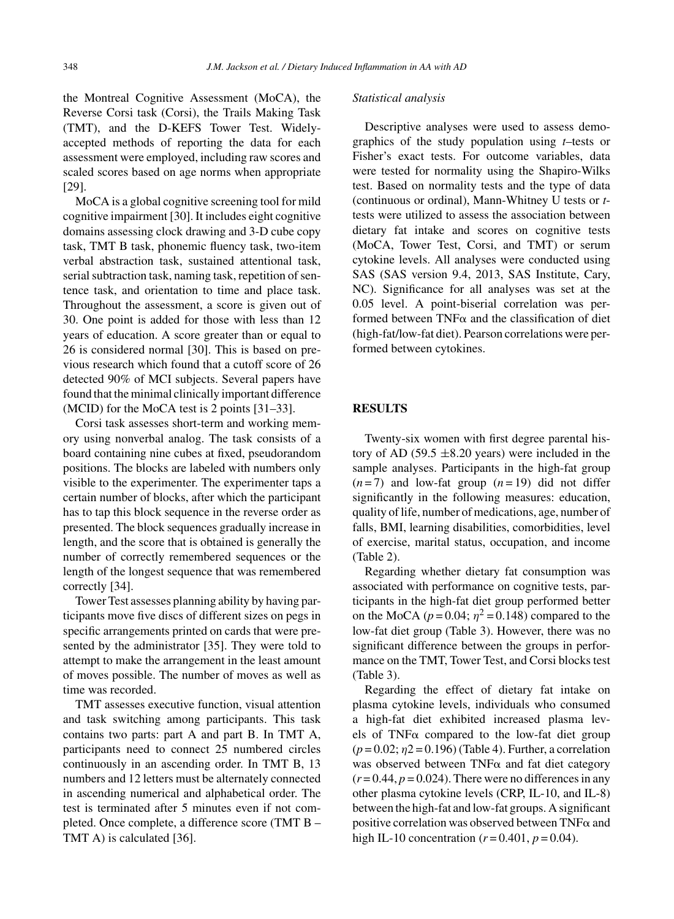the Montreal Cognitive Assessment (MoCA), the Reverse Corsi task (Corsi), the Trails Making Task (TMT), and the D-KEFS Tower Test. Widelyaccepted methods of reporting the data for each assessment were employed, including raw scores and scaled scores based on age norms when appropriate [29].

MoCA is a global cognitive screening tool for mild cognitive impairment [30]. It includes eight cognitive domains assessing clock drawing and 3-D cube copy task, TMT B task, phonemic fluency task, two-item verbal abstraction task, sustained attentional task, serial subtraction task, naming task, repetition of sentence task, and orientation to time and place task. Throughout the assessment, a score is given out of 30. One point is added for those with less than 12 years of education. A score greater than or equal to 26 is considered normal [30]. This is based on previous research which found that a cutoff score of 26 detected 90% of MCI subjects. Several papers have found that the minimal clinically important difference (MCID) for the MoCA test is 2 points [31–33].

Corsi task assesses short-term and working memory using nonverbal analog. The task consists of a board containing nine cubes at fixed, pseudorandom positions. The blocks are labeled with numbers only visible to the experimenter. The experimenter taps a certain number of blocks, after which the participant has to tap this block sequence in the reverse order as presented. The block sequences gradually increase in length, and the score that is obtained is generally the number of correctly remembered sequences or the length of the longest sequence that was remembered correctly [34].

Tower Test assesses planning ability by having participants move five discs of different sizes on pegs in specific arrangements printed on cards that were presented by the administrator [35]. They were told to attempt to make the arrangement in the least amount of moves possible. The number of moves as well as time was recorded.

TMT assesses executive function, visual attention and task switching among participants. This task contains two parts: part A and part B. In TMT A, participants need to connect 25 numbered circles continuously in an ascending order. In TMT B, 13 numbers and 12 letters must be alternately connected in ascending numerical and alphabetical order. The test is terminated after 5 minutes even if not completed. Once complete, a difference score (TMT B – TMT A) is calculated [36].

#### *Statistical analysis*

Descriptive analyses were used to assess demographics of the study population using *t*–tests or Fisher's exact tests. For outcome variables, data were tested for normality using the Shapiro-Wilks test. Based on normality tests and the type of data (continuous or ordinal), Mann-Whitney U tests or *t*tests were utilized to assess the association between dietary fat intake and scores on cognitive tests (MoCA, Tower Test, Corsi, and TMT) or serum cytokine levels. All analyses were conducted using SAS (SAS version 9.4, 2013, SAS Institute, Cary, NC). Significance for all analyses was set at the 0.05 level. A point-biserial correlation was performed between  $TNF\alpha$  and the classification of diet (high-fat/low-fat diet). Pearson correlations were performed between cytokines.

# **RESULTS**

Twenty-six women with first degree parental history of AD (59.5  $\pm$ 8.20 years) were included in the sample analyses. Participants in the high-fat group  $(n=7)$  and low-fat group  $(n=19)$  did not differ significantly in the following measures: education, quality of life, number of medications, age, number of falls, BMI, learning disabilities, comorbidities, level of exercise, marital status, occupation, and income (Table 2).

Regarding whether dietary fat consumption was associated with performance on cognitive tests, participants in the high-fat diet group performed better on the MoCA ( $p = 0.04$ ;  $\eta^2 = 0.148$ ) compared to the low-fat diet group (Table 3). However, there was no significant difference between the groups in performance on the TMT, Tower Test, and Corsi blocks test (Table 3).

Regarding the effect of dietary fat intake on plasma cytokine levels, individuals who consumed a high-fat diet exhibited increased plasma levels of TNF $\alpha$  compared to the low-fat diet group (*p* = 0.02; η2 = 0.196) (Table 4). Further, a correlation was observed between  $TNF\alpha$  and fat diet category  $(r=0.44, p=0.024)$ . There were no differences in any other plasma cytokine levels (CRP, IL-10, and IL-8) between the high-fat and low-fat groups. A significant positive correlation was observed between  $TNF\alpha$  and high IL-10 concentration ( $r = 0.401$ ,  $p = 0.04$ ).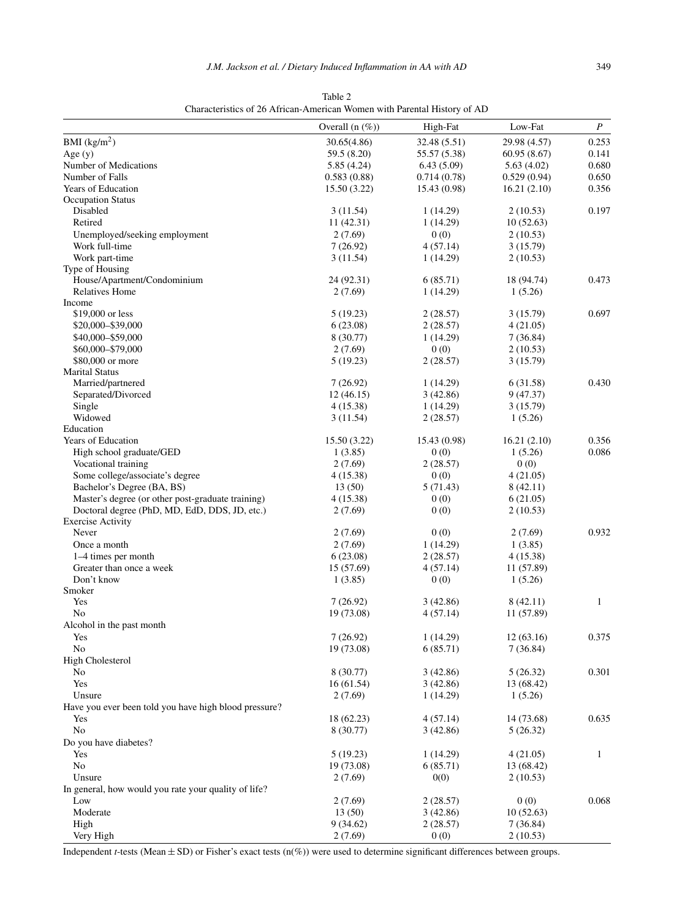| BMI $(kg/m2)$<br>30.65(4.86)<br>32.48 (5.51)<br>29.98 (4.57)<br>Age $(y)$<br>59.5 (8.20)<br>55.57 (5.38)<br>60.95(8.67)<br>Number of Medications<br>5.85(4.24)<br>6.43(5.09)<br>5.63(4.02)<br>Number of Falls<br>0.583(0.88)<br>0.714(0.78)<br>0.529(0.94)<br>Years of Education<br>15.50 (3.22)<br>15.43 (0.98)<br>16.21(2.10)<br><b>Occupation Status</b><br>Disabled<br>3(11.54)<br>1 (14.29)<br>2(10.53)<br>Retired<br>11 (42.31)<br>1 (14.29)<br>10(52.63)<br>Unemployed/seeking employment<br>2(7.69)<br>0(0)<br>2(10.53)<br>Work full-time<br>7(26.92)<br>4(57.14)<br>3(15.79)<br>Work part-time<br>3(11.54)<br>1(14.29)<br>2(10.53)<br>Type of Housing<br>House/Apartment/Condominium<br>24 (92.31)<br>6(85.71)<br>18 (94.74)<br><b>Relatives Home</b><br>2(7.69)<br>1 (14.29)<br>1(5.26)<br>Income<br>\$19,000 or less<br>5 (19.23)<br>2(28.57)<br>3(15.79)<br>\$20,000-\$39,000<br>6(23.08)<br>2(28.57)<br>4(21.05)<br>\$40,000-\$59,000<br>8 (30.77)<br>1(14.29)<br>7 (36.84)<br>0(0)<br>\$60,000-\$79,000<br>2(7.69)<br>2(10.53)<br>\$80,000 or more<br>2(28.57)<br>5(19.23)<br>3(15.79)<br><b>Marital Status</b><br>Married/partnered<br>7(26.92)<br>1 (14.29)<br>6 (31.58)<br>Separated/Divorced<br>12 (46.15)<br>3(42.86)<br>9 (47.37)<br>Single<br>4 (15.38)<br>1(14.29)<br>3(15.79)<br>Widowed<br>3(11.54)<br>2(28.57)<br>1(5.26)<br>Education<br>Years of Education<br>15.50 (3.22)<br>15.43 (0.98)<br>16.21(2.10)<br>High school graduate/GED<br>1(3.85)<br>0(0)<br>1(5.26)<br>Vocational training<br>2(28.57)<br>0(0)<br>2(7.69)<br>Some college/associate's degree<br>4 (15.38)<br>0(0)<br>4 (21.05)<br>Bachelor's Degree (BA, BS)<br>13(50)<br>5 (71.43)<br>8 (42.11)<br>Master's degree (or other post-graduate training)<br>4 (15.38)<br>0(0)<br>6(21.05)<br>Doctoral degree (PhD, MD, EdD, DDS, JD, etc.)<br>2(7.69)<br>0(0)<br>2(10.53)<br><b>Exercise Activity</b><br>Never<br>2(7.69)<br>0(0)<br>2(7.69)<br>Once a month<br>2(7.69)<br>1(14.29)<br>1(3.85)<br>1–4 times per month<br>6(23.08)<br>2(28.57)<br>4 (15.38)<br>Greater than once a week<br>15 (57.69)<br>4 (57.14)<br>11 (57.89)<br>Don't know<br>0(0)<br>1(3.85)<br>1(5.26)<br>Smoker<br>Yes<br>$\mathbf{1}$<br>7(26.92)<br>3(42.86)<br>8 (42.11)<br>No<br>19 (73.08)<br>4(57.14)<br>11 (57.89)<br>Alcohol in the past month<br>Yes<br>7(26.92)<br>1(14.29)<br>12(63.16)<br>No<br>19 (73.08)<br>6(85.71)<br>7(36.84)<br><b>High Cholesterol</b><br>5(26.32)<br>8 (30.77)<br>3(42.86)<br>No<br>Yes<br>16(61.54)<br>3(42.86)<br>13 (68.42)<br>Unsure<br>2(7.69)<br>1(14.29)<br>1(5.26)<br>Have you ever been told you have high blood pressure?<br>18 (62.23)<br>4(57.14)<br>14 (73.68)<br>Yes<br>No<br>8 (30.77)<br>3(42.86)<br>5(26.32)<br>Do you have diabetes? |     | Overall $(n \ (\%)$ | High-Fat | Low-Fat  | P            |
|----------------------------------------------------------------------------------------------------------------------------------------------------------------------------------------------------------------------------------------------------------------------------------------------------------------------------------------------------------------------------------------------------------------------------------------------------------------------------------------------------------------------------------------------------------------------------------------------------------------------------------------------------------------------------------------------------------------------------------------------------------------------------------------------------------------------------------------------------------------------------------------------------------------------------------------------------------------------------------------------------------------------------------------------------------------------------------------------------------------------------------------------------------------------------------------------------------------------------------------------------------------------------------------------------------------------------------------------------------------------------------------------------------------------------------------------------------------------------------------------------------------------------------------------------------------------------------------------------------------------------------------------------------------------------------------------------------------------------------------------------------------------------------------------------------------------------------------------------------------------------------------------------------------------------------------------------------------------------------------------------------------------------------------------------------------------------------------------------------------------------------------------------------------------------------------------------------------------------------------------------------------------------------------------------------------------------------------------------------------------------------------------------------------------------------------------------------------------------------------------------------------------------------------------------------------------------------------------------------------------------------------------------------------------------------------------------------------------------------------------------------|-----|---------------------|----------|----------|--------------|
|                                                                                                                                                                                                                                                                                                                                                                                                                                                                                                                                                                                                                                                                                                                                                                                                                                                                                                                                                                                                                                                                                                                                                                                                                                                                                                                                                                                                                                                                                                                                                                                                                                                                                                                                                                                                                                                                                                                                                                                                                                                                                                                                                                                                                                                                                                                                                                                                                                                                                                                                                                                                                                                                                                                                                          |     |                     |          |          | 0.253        |
|                                                                                                                                                                                                                                                                                                                                                                                                                                                                                                                                                                                                                                                                                                                                                                                                                                                                                                                                                                                                                                                                                                                                                                                                                                                                                                                                                                                                                                                                                                                                                                                                                                                                                                                                                                                                                                                                                                                                                                                                                                                                                                                                                                                                                                                                                                                                                                                                                                                                                                                                                                                                                                                                                                                                                          |     |                     |          |          | 0.141        |
|                                                                                                                                                                                                                                                                                                                                                                                                                                                                                                                                                                                                                                                                                                                                                                                                                                                                                                                                                                                                                                                                                                                                                                                                                                                                                                                                                                                                                                                                                                                                                                                                                                                                                                                                                                                                                                                                                                                                                                                                                                                                                                                                                                                                                                                                                                                                                                                                                                                                                                                                                                                                                                                                                                                                                          |     |                     |          |          | 0.680        |
|                                                                                                                                                                                                                                                                                                                                                                                                                                                                                                                                                                                                                                                                                                                                                                                                                                                                                                                                                                                                                                                                                                                                                                                                                                                                                                                                                                                                                                                                                                                                                                                                                                                                                                                                                                                                                                                                                                                                                                                                                                                                                                                                                                                                                                                                                                                                                                                                                                                                                                                                                                                                                                                                                                                                                          |     |                     |          |          | 0.650        |
|                                                                                                                                                                                                                                                                                                                                                                                                                                                                                                                                                                                                                                                                                                                                                                                                                                                                                                                                                                                                                                                                                                                                                                                                                                                                                                                                                                                                                                                                                                                                                                                                                                                                                                                                                                                                                                                                                                                                                                                                                                                                                                                                                                                                                                                                                                                                                                                                                                                                                                                                                                                                                                                                                                                                                          |     |                     |          |          | 0.356        |
|                                                                                                                                                                                                                                                                                                                                                                                                                                                                                                                                                                                                                                                                                                                                                                                                                                                                                                                                                                                                                                                                                                                                                                                                                                                                                                                                                                                                                                                                                                                                                                                                                                                                                                                                                                                                                                                                                                                                                                                                                                                                                                                                                                                                                                                                                                                                                                                                                                                                                                                                                                                                                                                                                                                                                          |     |                     |          |          |              |
|                                                                                                                                                                                                                                                                                                                                                                                                                                                                                                                                                                                                                                                                                                                                                                                                                                                                                                                                                                                                                                                                                                                                                                                                                                                                                                                                                                                                                                                                                                                                                                                                                                                                                                                                                                                                                                                                                                                                                                                                                                                                                                                                                                                                                                                                                                                                                                                                                                                                                                                                                                                                                                                                                                                                                          |     |                     |          |          | 0.197        |
|                                                                                                                                                                                                                                                                                                                                                                                                                                                                                                                                                                                                                                                                                                                                                                                                                                                                                                                                                                                                                                                                                                                                                                                                                                                                                                                                                                                                                                                                                                                                                                                                                                                                                                                                                                                                                                                                                                                                                                                                                                                                                                                                                                                                                                                                                                                                                                                                                                                                                                                                                                                                                                                                                                                                                          |     |                     |          |          |              |
|                                                                                                                                                                                                                                                                                                                                                                                                                                                                                                                                                                                                                                                                                                                                                                                                                                                                                                                                                                                                                                                                                                                                                                                                                                                                                                                                                                                                                                                                                                                                                                                                                                                                                                                                                                                                                                                                                                                                                                                                                                                                                                                                                                                                                                                                                                                                                                                                                                                                                                                                                                                                                                                                                                                                                          |     |                     |          |          |              |
|                                                                                                                                                                                                                                                                                                                                                                                                                                                                                                                                                                                                                                                                                                                                                                                                                                                                                                                                                                                                                                                                                                                                                                                                                                                                                                                                                                                                                                                                                                                                                                                                                                                                                                                                                                                                                                                                                                                                                                                                                                                                                                                                                                                                                                                                                                                                                                                                                                                                                                                                                                                                                                                                                                                                                          |     |                     |          |          |              |
|                                                                                                                                                                                                                                                                                                                                                                                                                                                                                                                                                                                                                                                                                                                                                                                                                                                                                                                                                                                                                                                                                                                                                                                                                                                                                                                                                                                                                                                                                                                                                                                                                                                                                                                                                                                                                                                                                                                                                                                                                                                                                                                                                                                                                                                                                                                                                                                                                                                                                                                                                                                                                                                                                                                                                          |     |                     |          |          |              |
|                                                                                                                                                                                                                                                                                                                                                                                                                                                                                                                                                                                                                                                                                                                                                                                                                                                                                                                                                                                                                                                                                                                                                                                                                                                                                                                                                                                                                                                                                                                                                                                                                                                                                                                                                                                                                                                                                                                                                                                                                                                                                                                                                                                                                                                                                                                                                                                                                                                                                                                                                                                                                                                                                                                                                          |     |                     |          |          |              |
|                                                                                                                                                                                                                                                                                                                                                                                                                                                                                                                                                                                                                                                                                                                                                                                                                                                                                                                                                                                                                                                                                                                                                                                                                                                                                                                                                                                                                                                                                                                                                                                                                                                                                                                                                                                                                                                                                                                                                                                                                                                                                                                                                                                                                                                                                                                                                                                                                                                                                                                                                                                                                                                                                                                                                          |     |                     |          |          | 0.473        |
|                                                                                                                                                                                                                                                                                                                                                                                                                                                                                                                                                                                                                                                                                                                                                                                                                                                                                                                                                                                                                                                                                                                                                                                                                                                                                                                                                                                                                                                                                                                                                                                                                                                                                                                                                                                                                                                                                                                                                                                                                                                                                                                                                                                                                                                                                                                                                                                                                                                                                                                                                                                                                                                                                                                                                          |     |                     |          |          |              |
|                                                                                                                                                                                                                                                                                                                                                                                                                                                                                                                                                                                                                                                                                                                                                                                                                                                                                                                                                                                                                                                                                                                                                                                                                                                                                                                                                                                                                                                                                                                                                                                                                                                                                                                                                                                                                                                                                                                                                                                                                                                                                                                                                                                                                                                                                                                                                                                                                                                                                                                                                                                                                                                                                                                                                          |     |                     |          |          |              |
|                                                                                                                                                                                                                                                                                                                                                                                                                                                                                                                                                                                                                                                                                                                                                                                                                                                                                                                                                                                                                                                                                                                                                                                                                                                                                                                                                                                                                                                                                                                                                                                                                                                                                                                                                                                                                                                                                                                                                                                                                                                                                                                                                                                                                                                                                                                                                                                                                                                                                                                                                                                                                                                                                                                                                          |     |                     |          |          | 0.697        |
|                                                                                                                                                                                                                                                                                                                                                                                                                                                                                                                                                                                                                                                                                                                                                                                                                                                                                                                                                                                                                                                                                                                                                                                                                                                                                                                                                                                                                                                                                                                                                                                                                                                                                                                                                                                                                                                                                                                                                                                                                                                                                                                                                                                                                                                                                                                                                                                                                                                                                                                                                                                                                                                                                                                                                          |     |                     |          |          |              |
|                                                                                                                                                                                                                                                                                                                                                                                                                                                                                                                                                                                                                                                                                                                                                                                                                                                                                                                                                                                                                                                                                                                                                                                                                                                                                                                                                                                                                                                                                                                                                                                                                                                                                                                                                                                                                                                                                                                                                                                                                                                                                                                                                                                                                                                                                                                                                                                                                                                                                                                                                                                                                                                                                                                                                          |     |                     |          |          |              |
|                                                                                                                                                                                                                                                                                                                                                                                                                                                                                                                                                                                                                                                                                                                                                                                                                                                                                                                                                                                                                                                                                                                                                                                                                                                                                                                                                                                                                                                                                                                                                                                                                                                                                                                                                                                                                                                                                                                                                                                                                                                                                                                                                                                                                                                                                                                                                                                                                                                                                                                                                                                                                                                                                                                                                          |     |                     |          |          |              |
|                                                                                                                                                                                                                                                                                                                                                                                                                                                                                                                                                                                                                                                                                                                                                                                                                                                                                                                                                                                                                                                                                                                                                                                                                                                                                                                                                                                                                                                                                                                                                                                                                                                                                                                                                                                                                                                                                                                                                                                                                                                                                                                                                                                                                                                                                                                                                                                                                                                                                                                                                                                                                                                                                                                                                          |     |                     |          |          |              |
|                                                                                                                                                                                                                                                                                                                                                                                                                                                                                                                                                                                                                                                                                                                                                                                                                                                                                                                                                                                                                                                                                                                                                                                                                                                                                                                                                                                                                                                                                                                                                                                                                                                                                                                                                                                                                                                                                                                                                                                                                                                                                                                                                                                                                                                                                                                                                                                                                                                                                                                                                                                                                                                                                                                                                          |     |                     |          |          |              |
|                                                                                                                                                                                                                                                                                                                                                                                                                                                                                                                                                                                                                                                                                                                                                                                                                                                                                                                                                                                                                                                                                                                                                                                                                                                                                                                                                                                                                                                                                                                                                                                                                                                                                                                                                                                                                                                                                                                                                                                                                                                                                                                                                                                                                                                                                                                                                                                                                                                                                                                                                                                                                                                                                                                                                          |     |                     |          |          | 0.430        |
|                                                                                                                                                                                                                                                                                                                                                                                                                                                                                                                                                                                                                                                                                                                                                                                                                                                                                                                                                                                                                                                                                                                                                                                                                                                                                                                                                                                                                                                                                                                                                                                                                                                                                                                                                                                                                                                                                                                                                                                                                                                                                                                                                                                                                                                                                                                                                                                                                                                                                                                                                                                                                                                                                                                                                          |     |                     |          |          |              |
|                                                                                                                                                                                                                                                                                                                                                                                                                                                                                                                                                                                                                                                                                                                                                                                                                                                                                                                                                                                                                                                                                                                                                                                                                                                                                                                                                                                                                                                                                                                                                                                                                                                                                                                                                                                                                                                                                                                                                                                                                                                                                                                                                                                                                                                                                                                                                                                                                                                                                                                                                                                                                                                                                                                                                          |     |                     |          |          |              |
|                                                                                                                                                                                                                                                                                                                                                                                                                                                                                                                                                                                                                                                                                                                                                                                                                                                                                                                                                                                                                                                                                                                                                                                                                                                                                                                                                                                                                                                                                                                                                                                                                                                                                                                                                                                                                                                                                                                                                                                                                                                                                                                                                                                                                                                                                                                                                                                                                                                                                                                                                                                                                                                                                                                                                          |     |                     |          |          |              |
|                                                                                                                                                                                                                                                                                                                                                                                                                                                                                                                                                                                                                                                                                                                                                                                                                                                                                                                                                                                                                                                                                                                                                                                                                                                                                                                                                                                                                                                                                                                                                                                                                                                                                                                                                                                                                                                                                                                                                                                                                                                                                                                                                                                                                                                                                                                                                                                                                                                                                                                                                                                                                                                                                                                                                          |     |                     |          |          |              |
|                                                                                                                                                                                                                                                                                                                                                                                                                                                                                                                                                                                                                                                                                                                                                                                                                                                                                                                                                                                                                                                                                                                                                                                                                                                                                                                                                                                                                                                                                                                                                                                                                                                                                                                                                                                                                                                                                                                                                                                                                                                                                                                                                                                                                                                                                                                                                                                                                                                                                                                                                                                                                                                                                                                                                          |     |                     |          |          | 0.356        |
|                                                                                                                                                                                                                                                                                                                                                                                                                                                                                                                                                                                                                                                                                                                                                                                                                                                                                                                                                                                                                                                                                                                                                                                                                                                                                                                                                                                                                                                                                                                                                                                                                                                                                                                                                                                                                                                                                                                                                                                                                                                                                                                                                                                                                                                                                                                                                                                                                                                                                                                                                                                                                                                                                                                                                          |     |                     |          |          | 0.086        |
|                                                                                                                                                                                                                                                                                                                                                                                                                                                                                                                                                                                                                                                                                                                                                                                                                                                                                                                                                                                                                                                                                                                                                                                                                                                                                                                                                                                                                                                                                                                                                                                                                                                                                                                                                                                                                                                                                                                                                                                                                                                                                                                                                                                                                                                                                                                                                                                                                                                                                                                                                                                                                                                                                                                                                          |     |                     |          |          |              |
|                                                                                                                                                                                                                                                                                                                                                                                                                                                                                                                                                                                                                                                                                                                                                                                                                                                                                                                                                                                                                                                                                                                                                                                                                                                                                                                                                                                                                                                                                                                                                                                                                                                                                                                                                                                                                                                                                                                                                                                                                                                                                                                                                                                                                                                                                                                                                                                                                                                                                                                                                                                                                                                                                                                                                          |     |                     |          |          |              |
|                                                                                                                                                                                                                                                                                                                                                                                                                                                                                                                                                                                                                                                                                                                                                                                                                                                                                                                                                                                                                                                                                                                                                                                                                                                                                                                                                                                                                                                                                                                                                                                                                                                                                                                                                                                                                                                                                                                                                                                                                                                                                                                                                                                                                                                                                                                                                                                                                                                                                                                                                                                                                                                                                                                                                          |     |                     |          |          |              |
|                                                                                                                                                                                                                                                                                                                                                                                                                                                                                                                                                                                                                                                                                                                                                                                                                                                                                                                                                                                                                                                                                                                                                                                                                                                                                                                                                                                                                                                                                                                                                                                                                                                                                                                                                                                                                                                                                                                                                                                                                                                                                                                                                                                                                                                                                                                                                                                                                                                                                                                                                                                                                                                                                                                                                          |     |                     |          |          |              |
|                                                                                                                                                                                                                                                                                                                                                                                                                                                                                                                                                                                                                                                                                                                                                                                                                                                                                                                                                                                                                                                                                                                                                                                                                                                                                                                                                                                                                                                                                                                                                                                                                                                                                                                                                                                                                                                                                                                                                                                                                                                                                                                                                                                                                                                                                                                                                                                                                                                                                                                                                                                                                                                                                                                                                          |     |                     |          |          |              |
|                                                                                                                                                                                                                                                                                                                                                                                                                                                                                                                                                                                                                                                                                                                                                                                                                                                                                                                                                                                                                                                                                                                                                                                                                                                                                                                                                                                                                                                                                                                                                                                                                                                                                                                                                                                                                                                                                                                                                                                                                                                                                                                                                                                                                                                                                                                                                                                                                                                                                                                                                                                                                                                                                                                                                          |     |                     |          |          |              |
|                                                                                                                                                                                                                                                                                                                                                                                                                                                                                                                                                                                                                                                                                                                                                                                                                                                                                                                                                                                                                                                                                                                                                                                                                                                                                                                                                                                                                                                                                                                                                                                                                                                                                                                                                                                                                                                                                                                                                                                                                                                                                                                                                                                                                                                                                                                                                                                                                                                                                                                                                                                                                                                                                                                                                          |     |                     |          |          | 0.932        |
|                                                                                                                                                                                                                                                                                                                                                                                                                                                                                                                                                                                                                                                                                                                                                                                                                                                                                                                                                                                                                                                                                                                                                                                                                                                                                                                                                                                                                                                                                                                                                                                                                                                                                                                                                                                                                                                                                                                                                                                                                                                                                                                                                                                                                                                                                                                                                                                                                                                                                                                                                                                                                                                                                                                                                          |     |                     |          |          |              |
|                                                                                                                                                                                                                                                                                                                                                                                                                                                                                                                                                                                                                                                                                                                                                                                                                                                                                                                                                                                                                                                                                                                                                                                                                                                                                                                                                                                                                                                                                                                                                                                                                                                                                                                                                                                                                                                                                                                                                                                                                                                                                                                                                                                                                                                                                                                                                                                                                                                                                                                                                                                                                                                                                                                                                          |     |                     |          |          |              |
|                                                                                                                                                                                                                                                                                                                                                                                                                                                                                                                                                                                                                                                                                                                                                                                                                                                                                                                                                                                                                                                                                                                                                                                                                                                                                                                                                                                                                                                                                                                                                                                                                                                                                                                                                                                                                                                                                                                                                                                                                                                                                                                                                                                                                                                                                                                                                                                                                                                                                                                                                                                                                                                                                                                                                          |     |                     |          |          |              |
|                                                                                                                                                                                                                                                                                                                                                                                                                                                                                                                                                                                                                                                                                                                                                                                                                                                                                                                                                                                                                                                                                                                                                                                                                                                                                                                                                                                                                                                                                                                                                                                                                                                                                                                                                                                                                                                                                                                                                                                                                                                                                                                                                                                                                                                                                                                                                                                                                                                                                                                                                                                                                                                                                                                                                          |     |                     |          |          |              |
|                                                                                                                                                                                                                                                                                                                                                                                                                                                                                                                                                                                                                                                                                                                                                                                                                                                                                                                                                                                                                                                                                                                                                                                                                                                                                                                                                                                                                                                                                                                                                                                                                                                                                                                                                                                                                                                                                                                                                                                                                                                                                                                                                                                                                                                                                                                                                                                                                                                                                                                                                                                                                                                                                                                                                          |     |                     |          |          |              |
|                                                                                                                                                                                                                                                                                                                                                                                                                                                                                                                                                                                                                                                                                                                                                                                                                                                                                                                                                                                                                                                                                                                                                                                                                                                                                                                                                                                                                                                                                                                                                                                                                                                                                                                                                                                                                                                                                                                                                                                                                                                                                                                                                                                                                                                                                                                                                                                                                                                                                                                                                                                                                                                                                                                                                          |     |                     |          |          |              |
|                                                                                                                                                                                                                                                                                                                                                                                                                                                                                                                                                                                                                                                                                                                                                                                                                                                                                                                                                                                                                                                                                                                                                                                                                                                                                                                                                                                                                                                                                                                                                                                                                                                                                                                                                                                                                                                                                                                                                                                                                                                                                                                                                                                                                                                                                                                                                                                                                                                                                                                                                                                                                                                                                                                                                          |     |                     |          |          |              |
|                                                                                                                                                                                                                                                                                                                                                                                                                                                                                                                                                                                                                                                                                                                                                                                                                                                                                                                                                                                                                                                                                                                                                                                                                                                                                                                                                                                                                                                                                                                                                                                                                                                                                                                                                                                                                                                                                                                                                                                                                                                                                                                                                                                                                                                                                                                                                                                                                                                                                                                                                                                                                                                                                                                                                          |     |                     |          |          |              |
|                                                                                                                                                                                                                                                                                                                                                                                                                                                                                                                                                                                                                                                                                                                                                                                                                                                                                                                                                                                                                                                                                                                                                                                                                                                                                                                                                                                                                                                                                                                                                                                                                                                                                                                                                                                                                                                                                                                                                                                                                                                                                                                                                                                                                                                                                                                                                                                                                                                                                                                                                                                                                                                                                                                                                          |     |                     |          |          | 0.375        |
|                                                                                                                                                                                                                                                                                                                                                                                                                                                                                                                                                                                                                                                                                                                                                                                                                                                                                                                                                                                                                                                                                                                                                                                                                                                                                                                                                                                                                                                                                                                                                                                                                                                                                                                                                                                                                                                                                                                                                                                                                                                                                                                                                                                                                                                                                                                                                                                                                                                                                                                                                                                                                                                                                                                                                          |     |                     |          |          |              |
|                                                                                                                                                                                                                                                                                                                                                                                                                                                                                                                                                                                                                                                                                                                                                                                                                                                                                                                                                                                                                                                                                                                                                                                                                                                                                                                                                                                                                                                                                                                                                                                                                                                                                                                                                                                                                                                                                                                                                                                                                                                                                                                                                                                                                                                                                                                                                                                                                                                                                                                                                                                                                                                                                                                                                          |     |                     |          |          |              |
|                                                                                                                                                                                                                                                                                                                                                                                                                                                                                                                                                                                                                                                                                                                                                                                                                                                                                                                                                                                                                                                                                                                                                                                                                                                                                                                                                                                                                                                                                                                                                                                                                                                                                                                                                                                                                                                                                                                                                                                                                                                                                                                                                                                                                                                                                                                                                                                                                                                                                                                                                                                                                                                                                                                                                          |     |                     |          |          | 0.301        |
|                                                                                                                                                                                                                                                                                                                                                                                                                                                                                                                                                                                                                                                                                                                                                                                                                                                                                                                                                                                                                                                                                                                                                                                                                                                                                                                                                                                                                                                                                                                                                                                                                                                                                                                                                                                                                                                                                                                                                                                                                                                                                                                                                                                                                                                                                                                                                                                                                                                                                                                                                                                                                                                                                                                                                          |     |                     |          |          |              |
|                                                                                                                                                                                                                                                                                                                                                                                                                                                                                                                                                                                                                                                                                                                                                                                                                                                                                                                                                                                                                                                                                                                                                                                                                                                                                                                                                                                                                                                                                                                                                                                                                                                                                                                                                                                                                                                                                                                                                                                                                                                                                                                                                                                                                                                                                                                                                                                                                                                                                                                                                                                                                                                                                                                                                          |     |                     |          |          |              |
|                                                                                                                                                                                                                                                                                                                                                                                                                                                                                                                                                                                                                                                                                                                                                                                                                                                                                                                                                                                                                                                                                                                                                                                                                                                                                                                                                                                                                                                                                                                                                                                                                                                                                                                                                                                                                                                                                                                                                                                                                                                                                                                                                                                                                                                                                                                                                                                                                                                                                                                                                                                                                                                                                                                                                          |     |                     |          |          |              |
|                                                                                                                                                                                                                                                                                                                                                                                                                                                                                                                                                                                                                                                                                                                                                                                                                                                                                                                                                                                                                                                                                                                                                                                                                                                                                                                                                                                                                                                                                                                                                                                                                                                                                                                                                                                                                                                                                                                                                                                                                                                                                                                                                                                                                                                                                                                                                                                                                                                                                                                                                                                                                                                                                                                                                          |     |                     |          |          | 0.635        |
|                                                                                                                                                                                                                                                                                                                                                                                                                                                                                                                                                                                                                                                                                                                                                                                                                                                                                                                                                                                                                                                                                                                                                                                                                                                                                                                                                                                                                                                                                                                                                                                                                                                                                                                                                                                                                                                                                                                                                                                                                                                                                                                                                                                                                                                                                                                                                                                                                                                                                                                                                                                                                                                                                                                                                          |     |                     |          |          |              |
|                                                                                                                                                                                                                                                                                                                                                                                                                                                                                                                                                                                                                                                                                                                                                                                                                                                                                                                                                                                                                                                                                                                                                                                                                                                                                                                                                                                                                                                                                                                                                                                                                                                                                                                                                                                                                                                                                                                                                                                                                                                                                                                                                                                                                                                                                                                                                                                                                                                                                                                                                                                                                                                                                                                                                          |     |                     |          |          |              |
|                                                                                                                                                                                                                                                                                                                                                                                                                                                                                                                                                                                                                                                                                                                                                                                                                                                                                                                                                                                                                                                                                                                                                                                                                                                                                                                                                                                                                                                                                                                                                                                                                                                                                                                                                                                                                                                                                                                                                                                                                                                                                                                                                                                                                                                                                                                                                                                                                                                                                                                                                                                                                                                                                                                                                          | Yes | 5(19.23)            | 1(14.29) | 4(21.05) | $\mathbf{1}$ |
| 6(85.71)<br>No<br>19 (73.08)<br>13 (68.42)                                                                                                                                                                                                                                                                                                                                                                                                                                                                                                                                                                                                                                                                                                                                                                                                                                                                                                                                                                                                                                                                                                                                                                                                                                                                                                                                                                                                                                                                                                                                                                                                                                                                                                                                                                                                                                                                                                                                                                                                                                                                                                                                                                                                                                                                                                                                                                                                                                                                                                                                                                                                                                                                                                               |     |                     |          |          |              |
| Unsure<br>2(7.69)<br>0(0)<br>2(10.53)                                                                                                                                                                                                                                                                                                                                                                                                                                                                                                                                                                                                                                                                                                                                                                                                                                                                                                                                                                                                                                                                                                                                                                                                                                                                                                                                                                                                                                                                                                                                                                                                                                                                                                                                                                                                                                                                                                                                                                                                                                                                                                                                                                                                                                                                                                                                                                                                                                                                                                                                                                                                                                                                                                                    |     |                     |          |          |              |
| In general, how would you rate your quality of life?                                                                                                                                                                                                                                                                                                                                                                                                                                                                                                                                                                                                                                                                                                                                                                                                                                                                                                                                                                                                                                                                                                                                                                                                                                                                                                                                                                                                                                                                                                                                                                                                                                                                                                                                                                                                                                                                                                                                                                                                                                                                                                                                                                                                                                                                                                                                                                                                                                                                                                                                                                                                                                                                                                     |     |                     |          |          |              |
| 2(7.69)<br>2(28.57)<br>0(0)<br>Low                                                                                                                                                                                                                                                                                                                                                                                                                                                                                                                                                                                                                                                                                                                                                                                                                                                                                                                                                                                                                                                                                                                                                                                                                                                                                                                                                                                                                                                                                                                                                                                                                                                                                                                                                                                                                                                                                                                                                                                                                                                                                                                                                                                                                                                                                                                                                                                                                                                                                                                                                                                                                                                                                                                       |     |                     |          |          | 0.068        |
| Moderate<br>13(50)<br>3(42.86)<br>10(52.63)                                                                                                                                                                                                                                                                                                                                                                                                                                                                                                                                                                                                                                                                                                                                                                                                                                                                                                                                                                                                                                                                                                                                                                                                                                                                                                                                                                                                                                                                                                                                                                                                                                                                                                                                                                                                                                                                                                                                                                                                                                                                                                                                                                                                                                                                                                                                                                                                                                                                                                                                                                                                                                                                                                              |     |                     |          |          |              |
| High<br>9(34.62)<br>2(28.57)<br>7(36.84)                                                                                                                                                                                                                                                                                                                                                                                                                                                                                                                                                                                                                                                                                                                                                                                                                                                                                                                                                                                                                                                                                                                                                                                                                                                                                                                                                                                                                                                                                                                                                                                                                                                                                                                                                                                                                                                                                                                                                                                                                                                                                                                                                                                                                                                                                                                                                                                                                                                                                                                                                                                                                                                                                                                 |     |                     |          |          |              |

Table 2 Characteristics of 26 African-American Women with Parental History of AD

Very High 2 (7.69)  $0(0)$  2 (10.53) Independent *t*-tests (Mean  $\pm$  SD) or Fisher's exact tests (n(%)) were used to determine significant differences between groups.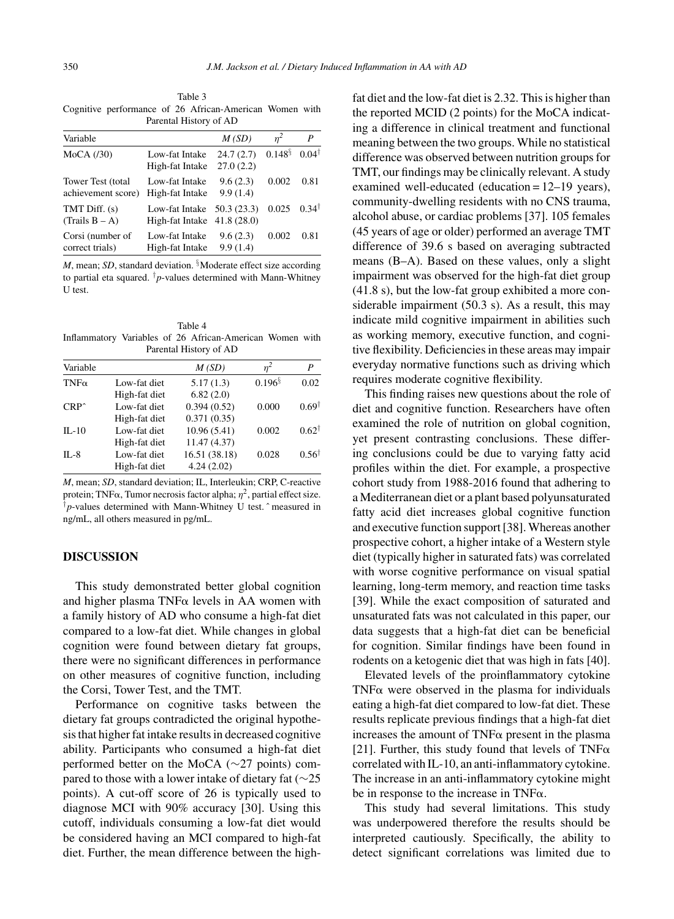Table 3 Cognitive performance of 26 African-American Women with Parental History of AD

| Variable                                |                                                             | M(SD)                  | $n^2$        | P                |
|-----------------------------------------|-------------------------------------------------------------|------------------------|--------------|------------------|
| $MoCA$ ( $/30$ )                        | Low-fat Intake<br>High-fat Intake                           | 24.7(2.7)<br>27.0(2.2) | $0.148^{\S}$ | $0.04^{\dagger}$ |
| Tower Test (total<br>achievement score) | Low-fat Intake<br>High-fat Intake                           | 9.6(2.3)<br>9.9(1.4)   | 0.002        | 0.81             |
| TMT Diff. (s)<br>$(Trails B - A)$       | Low-fat Intake $50.3(23.3)$<br>High-fat Intake $41.8(28.0)$ |                        | 0.025        | $0.34^{\dagger}$ |
| Corsi (number of<br>correct trials)     | Low-fat Intake<br>High-fat Intake                           | 9.6(2.3)<br>9.9(1.4)   | 0.002        | 0.81             |

*M*, mean; *SD*, standard deviation. <sup>§</sup>Moderate effect size according to partial eta squared.  $\dagger p$ -values determined with Mann-Whitney U test.

Table 4 Inflammatory Variables of 26 African-American Women with Parental History of AD

| Variable       |               | M(SD)         | $n^2$        | P                |
|----------------|---------------|---------------|--------------|------------------|
| $TNF\alpha$    | Low-fat diet  | 5.17(1.3)     | $0.196^{\S}$ | 0.02             |
|                | High-fat diet | 6.82(2.0)     |              |                  |
| $CRP^{\wedge}$ | Low-fat diet  | 0.394(0.52)   | 0.000        | $0.69^{\dagger}$ |
|                | High-fat diet | 0.371(0.35)   |              |                  |
| $IL-10$        | Low-fat diet  | 10.96(5.41)   | 0.002        | $0.62^{\dagger}$ |
|                | High-fat diet | 11.47 (4.37)  |              |                  |
| $II - 8$       | Low-fat diet  | 16.51 (38.18) | 0.028        | $0.56^{\dagger}$ |
|                | High-fat diet | 4.24(2.02)    |              |                  |

*M*, mean; *SD*, standard deviation; IL, Interleukin; CRP, C-reactive protein; TNF $\alpha$ , Tumor necrosis factor alpha;  $\eta^2$ , partial effect size. †*p*-values determined with Mann-Whitney U test. ˆ measured in ng/mL, all others measured in pg/mL.

# **DISCUSSION**

This study demonstrated better global cognition and higher plasma TNF $\alpha$  levels in AA women with a family history of AD who consume a high-fat diet compared to a low-fat diet. While changes in global cognition were found between dietary fat groups, there were no significant differences in performance on other measures of cognitive function, including the Corsi, Tower Test, and the TMT.

Performance on cognitive tasks between the dietary fat groups contradicted the original hypothesis that higher fat intake results in decreased cognitive ability. Participants who consumed a high-fat diet performed better on the MoCA (∼27 points) compared to those with a lower intake of dietary fat (∼25 points). A cut-off score of 26 is typically used to diagnose MCI with 90% accuracy [30]. Using this cutoff, individuals consuming a low-fat diet would be considered having an MCI compared to high-fat diet. Further, the mean difference between the highfat diet and the low-fat diet is 2.32. This is higher than the reported MCID (2 points) for the MoCA indicating a difference in clinical treatment and functional meaning between the two groups. While no statistical difference was observed between nutrition groups for TMT, our findings may be clinically relevant. A study examined well-educated (education = 12–19 years), community-dwelling residents with no CNS trauma, alcohol abuse, or cardiac problems [37]. 105 females (45 years of age or older) performed an average TMT difference of 39.6 s based on averaging subtracted means (B–A). Based on these values, only a slight impairment was observed for the high-fat diet group (41.8 s), but the low-fat group exhibited a more considerable impairment (50.3 s). As a result, this may indicate mild cognitive impairment in abilities such as working memory, executive function, and cognitive flexibility. Deficiencies in these areas may impair everyday normative functions such as driving which requires moderate cognitive flexibility.

This finding raises new questions about the role of diet and cognitive function. Researchers have often examined the role of nutrition on global cognition, yet present contrasting conclusions. These differing conclusions could be due to varying fatty acid profiles within the diet. For example, a prospective cohort study from 1988-2016 found that adhering to a Mediterranean diet or a plant based polyunsaturated fatty acid diet increases global cognitive function and executive function support [38]. Whereas another prospective cohort, a higher intake of a Western style diet (typically higher in saturated fats) was correlated with worse cognitive performance on visual spatial learning, long-term memory, and reaction time tasks [39]. While the exact composition of saturated and unsaturated fats was not calculated in this paper, our data suggests that a high-fat diet can be beneficial for cognition. Similar findings have been found in rodents on a ketogenic diet that was high in fats [40].

Elevated levels of the proinflammatory cytokine  $TNF\alpha$  were observed in the plasma for individuals eating a high-fat diet compared to low-fat diet. These results replicate previous findings that a high-fat diet increases the amount of  $TNF\alpha$  present in the plasma [21]. Further, this study found that levels of TNF $\alpha$ correlated with IL-10, an anti-inflammatory cytokine. The increase in an anti-inflammatory cytokine might be in response to the increase in TNF $\alpha$ .

This study had several limitations. This study was underpowered therefore the results should be interpreted cautiously. Specifically, the ability to detect significant correlations was limited due to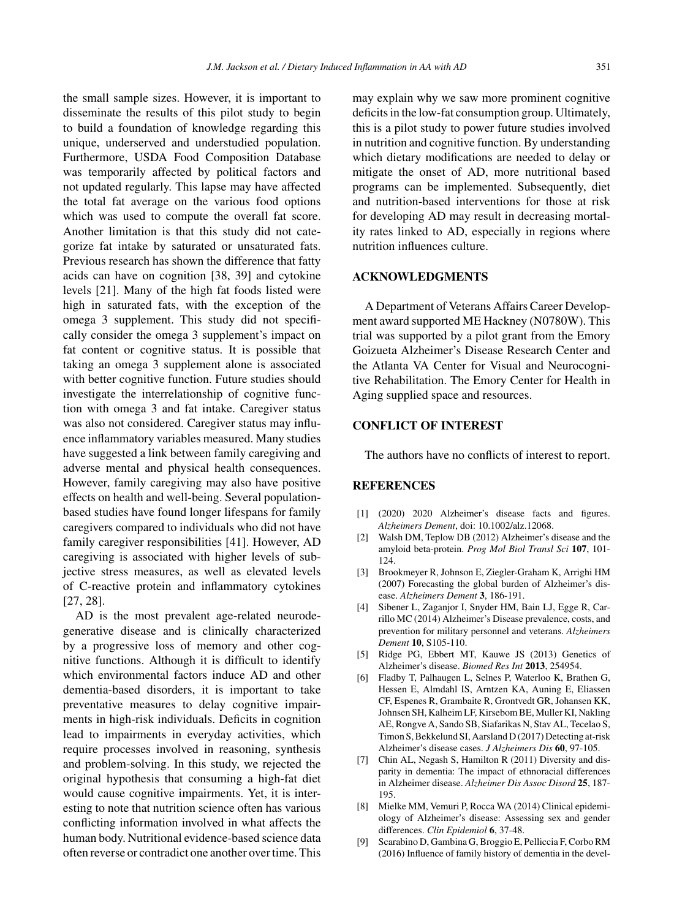the small sample sizes. However, it is important to disseminate the results of this pilot study to begin to build a foundation of knowledge regarding this unique, underserved and understudied population. Furthermore, USDA Food Composition Database was temporarily affected by political factors and not updated regularly. This lapse may have affected the total fat average on the various food options which was used to compute the overall fat score. Another limitation is that this study did not categorize fat intake by saturated or unsaturated fats. Previous research has shown the difference that fatty acids can have on cognition [38, 39] and cytokine levels [21]. Many of the high fat foods listed were high in saturated fats, with the exception of the omega 3 supplement. This study did not specifically consider the omega 3 supplement's impact on fat content or cognitive status. It is possible that taking an omega 3 supplement alone is associated with better cognitive function. Future studies should investigate the interrelationship of cognitive function with omega 3 and fat intake. Caregiver status was also not considered. Caregiver status may influence inflammatory variables measured. Many studies have suggested a link between family caregiving and adverse mental and physical health consequences. However, family caregiving may also have positive effects on health and well-being. Several populationbased studies have found longer lifespans for family caregivers compared to individuals who did not have family caregiver responsibilities [41]. However, AD caregiving is associated with higher levels of subjective stress measures, as well as elevated levels of C-reactive protein and inflammatory cytokines [27, 28].

AD is the most prevalent age-related neurodegenerative disease and is clinically characterized by a progressive loss of memory and other cognitive functions. Although it is difficult to identify which environmental factors induce AD and other dementia-based disorders, it is important to take preventative measures to delay cognitive impairments in high-risk individuals. Deficits in cognition lead to impairments in everyday activities, which require processes involved in reasoning, synthesis and problem-solving. In this study, we rejected the original hypothesis that consuming a high-fat diet would cause cognitive impairments. Yet, it is interesting to note that nutrition science often has various conflicting information involved in what affects the human body. Nutritional evidence-based science data often reverse or contradict one another over time. This

may explain why we saw more prominent cognitive deficits in the low-fat consumption group. Ultimately, this is a pilot study to power future studies involved in nutrition and cognitive function. By understanding which dietary modifications are needed to delay or mitigate the onset of AD, more nutritional based programs can be implemented. Subsequently, diet and nutrition-based interventions for those at risk for developing AD may result in decreasing mortality rates linked to AD, especially in regions where nutrition influences culture.

# **ACKNOWLEDGMENTS**

A Department of Veterans Affairs Career Development award supported ME Hackney (N0780W). This trial was supported by a pilot grant from the Emory Goizueta Alzheimer's Disease Research Center and the Atlanta VA Center for Visual and Neurocognitive Rehabilitation. The Emory Center for Health in Aging supplied space and resources.

# **CONFLICT OF INTEREST**

The authors have no conflicts of interest to report.

# **REFERENCES**

- [1] (2020) 2020 Alzheimer's disease facts and figures. *Alzheimers Dement*, doi: 10.1002/alz.12068.
- [2] Walsh DM, Teplow DB (2012) Alzheimer's disease and the amyloid beta-protein. *Prog Mol Biol Transl Sci* **107**, 101- 124.
- [3] Brookmeyer R, Johnson E, Ziegler-Graham K, Arrighi HM (2007) Forecasting the global burden of Alzheimer's disease. *Alzheimers Dement* **3**, 186-191.
- [4] Sibener L, Zaganjor I, Snyder HM, Bain LJ, Egge R, Carrillo MC (2014) Alzheimer's Disease prevalence, costs, and prevention for military personnel and veterans. *Alzheimers Dement* **10**, S105-110.
- [5] Ridge PG, Ebbert MT, Kauwe JS (2013) Genetics of Alzheimer's disease. *Biomed Res Int* **2013**, 254954.
- [6] Fladby T, Palhaugen L, Selnes P, Waterloo K, Brathen G, Hessen E, Almdahl IS, Arntzen KA, Auning E, Eliassen CF, Espenes R, Grambaite R, Grontvedt GR, Johansen KK, Johnsen SH, Kalheim LF, Kirsebom BE, Muller KI, Nakling AE, Rongve A, Sando SB, Siafarikas N, Stav AL, Tecelao S, Timon S, Bekkelund SI, Aarsland D (2017) Detecting at-risk Alzheimer's disease cases. *J Alzheimers Dis* **60**, 97-105.
- [7] Chin AL, Negash S, Hamilton R (2011) Diversity and disparity in dementia: The impact of ethnoracial differences in Alzheimer disease. *Alzheimer Dis Assoc Disord* **25**, 187- 195.
- [8] Mielke MM, Vemuri P, Rocca WA (2014) Clinical epidemiology of Alzheimer's disease: Assessing sex and gender differences. *Clin Epidemiol* **6**, 37-48.
- [9] Scarabino D, Gambina G, Broggio E, Pelliccia F, Corbo RM (2016) Influence of family history of dementia in the devel-